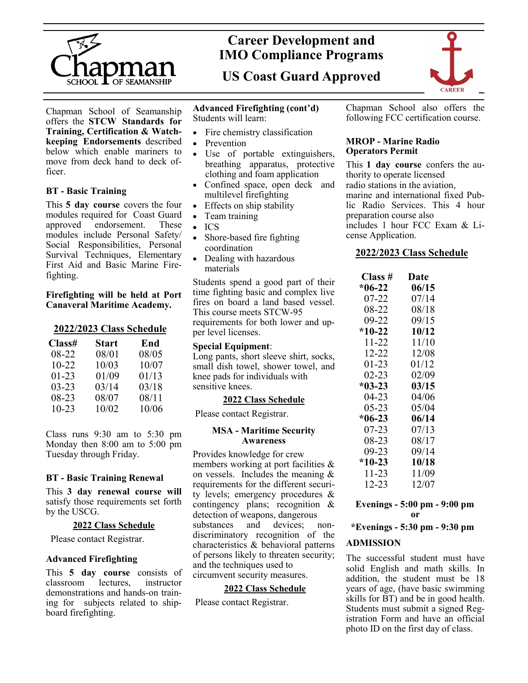

# **Career Development and IMO Compliance Programs**

**US Coast Guard Approved**



Chapman School of Seamanship offers the **STCW Standards for Training, Certification & Watchkeeping Endorsements** described below which enable mariners to move from deck hand to deck officer.

## **BT - Basic Training**

This **5 day course** covers the four modules required for Coast Guard approved endorsement. These modules include Personal Safety/ Social Responsibilities, Personal Survival Techniques, Elementary First Aid and Basic Marine Firefighting.

#### **Firefighting will be held at Port Canaveral Maritime Academy.**

## **2022/2023 Class Schedule**

| Class#    | <b>Start</b> | End   |
|-----------|--------------|-------|
| 08-22     | 08/01        | 08/05 |
| $10 - 22$ | 10/03        | 10/07 |
| $01-23$   | 01/09        | 01/13 |
| $03 - 23$ | 03/14        | 03/18 |
| $08 - 23$ | 08/07        | 08/11 |
| $10 - 23$ | 10/02        | 10/06 |

Class runs 9:30 am to 5:30 pm Monday then 8:00 am to 5:00 pm Tuesday through Friday.

## **BT - Basic Training Renewal**

This **3 day renewal course will**  satisfy those requirements set forth by the USCG.

#### **2022 Class Schedule**

Please contact Registrar.

## **Advanced Firefighting**

This **5 day course** consists of classroom lectures, instructor demonstrations and hands-on training for subjects related to shipboard firefighting.

#### **Advanced Firefighting (cont'd)** Students will learn:

- Fire chemistry classification
- Prevention
- Use of portable extinguishers, breathing apparatus, protective clothing and foam application
- Confined space, open deck and multilevel firefighting
- Effects on ship stability
- Team training
- ICS
- Shore-based fire fighting coordination
- Dealing with hazardous materials

Students spend a good part of their time fighting basic and complex live fires on board a land based vessel. This course meets STCW-95 requirements for both lower and upper level licenses.

#### **Special Equipment**:

Long pants, short sleeve shirt, socks, small dish towel, shower towel, and knee pads for individuals with sensitive knees.

## **2022 Class Schedule**

Please contact Registrar.

#### **MSA - Maritime Security Awareness**

Provides knowledge for crew members working at port facilities & on vessels. Includes the meaning & requirements for the different security levels; emergency procedures & contingency plans; recognition & detection of weapons, dangerous<br>substances and devices: substances and devices; nondiscriminatory recognition of the characteristics & behavioral patterns of persons likely to threaten security; and the techniques used to circumvent security measures.

## **2022 Class Schedule**

Please contact Registrar.

Chapman School also offers the following FCC certification course.

## **MROP - Marine Radio Operators Permit**

This **1 day course** confers the authority to operate licensed radio stations in the aviation, marine and international fixed Public Radio Services. This 4 hour preparation course also includes 1 hour FCC Exam & License Application.

## **2022/2023 Class Schedule**

| Class #   | Date  |
|-----------|-------|
| *06-22    | 06/15 |
| 07-22     | 07/14 |
| 08-22     | 08/18 |
| $09 - 22$ | 09/15 |
| $*10-22$  | 10/12 |
| 11-22     | 11/10 |
| 12-22     | 12/08 |
| $01 - 23$ | 01/12 |
| 02-23     | 02/09 |
| $*03-23$  | 03/15 |
| 04-23     | 04/06 |
| $05 - 23$ | 05/04 |
| $*06-23$  | 06/14 |
| 07-23     | 07/13 |
| 08-23     | 08/17 |
| $09 - 23$ | 09/14 |
| $*10-23$  | 10/18 |
| $11 - 23$ | 11/09 |
| 12-23     | 12/07 |

#### **Evenings - 5:00 pm - 9:00 pm or**

 **\*Evenings - 5:30 pm - 9:30 pm**

## **ADMISSION**

Ī

The successful student must have solid English and math skills. In addition, the student must be 18 years of age, (have basic swimming skills for BT) and be in good health. Students must submit a signed Registration Form and have an official photo ID on the first day of class.